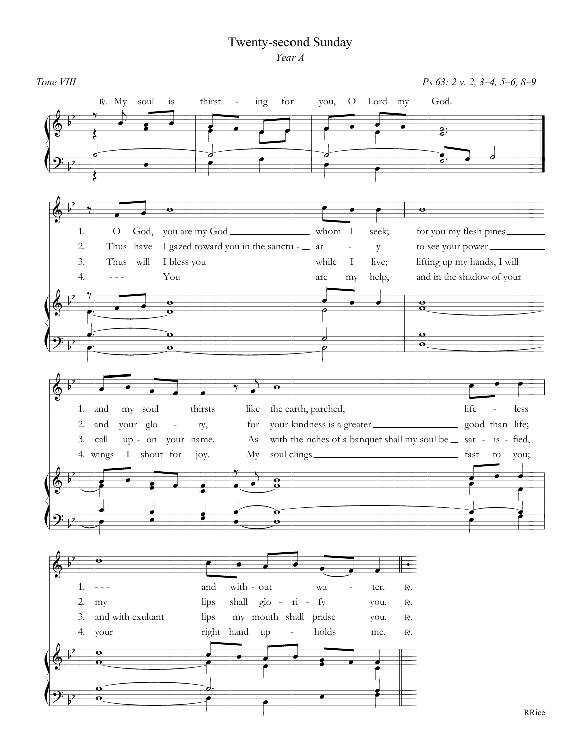## **Twenty-second Sunday** Year A